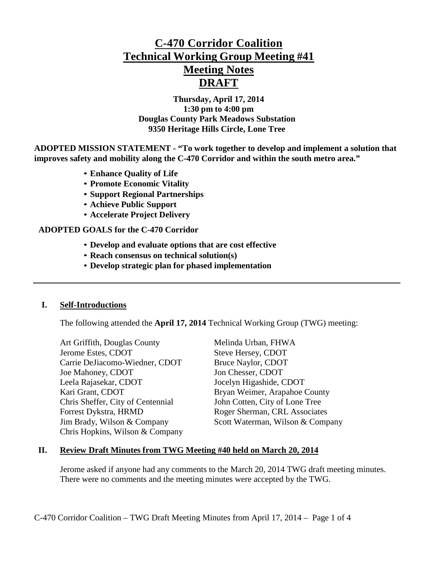# **C-470 Corridor Coalition Technical Working Group Meeting #41 Meeting Notes DRAFT**

**Thursday, April 17, 2014 1:30 pm to 4:00 pm Douglas County Park Meadows Substation 9350 Heritage Hills Circle, Lone Tree**

**ADOPTED MISSION STATEMENT - "To work together to develop and implement a solution that improves safety and mobility along the C-470 Corridor and within the south metro area."**

- **Enhance Quality of Life**
- **Promote Economic Vitality**
- **Support Regional Partnerships**
- **Achieve Public Support**
- **Accelerate Project Delivery**

#### **ADOPTED GOALS for the C-470 Corridor**

- **Develop and evaluate options that are cost effective**
- **Reach consensus on technical solution(s)**
- **Develop strategic plan for phased implementation**

#### **I. Self-Introductions**

The following attended the **April 17, 2014** Technical Working Group (TWG) meeting:

Art Griffith, Douglas County Melinda Urban, FHWA Jerome Estes, CDOT Steve Hersey, CDOT Carrie DeJiacomo-Wiedner, CDOT Bruce Naylor, CDOT Joe Mahoney, CDOT Jon Chesser, CDOT Leela Rajasekar, CDOT Jocelyn Higashide, CDOT Kari Grant, CDOT Bryan Weimer, Arapahoe County Chris Sheffer, City of Centennial John Cotten, City of Lone Tree Forrest Dykstra, HRMD Roger Sherman, CRL Associates Chris Hopkins, Wilson & Company

Jim Brady, Wilson & Company Scott Waterman, Wilson & Company

#### **II. Review Draft Minutes from TWG Meeting #40 held on March 20, 2014**

Jerome asked if anyone had any comments to the March 20, 2014 TWG draft meeting minutes. There were no comments and the meeting minutes were accepted by the TWG.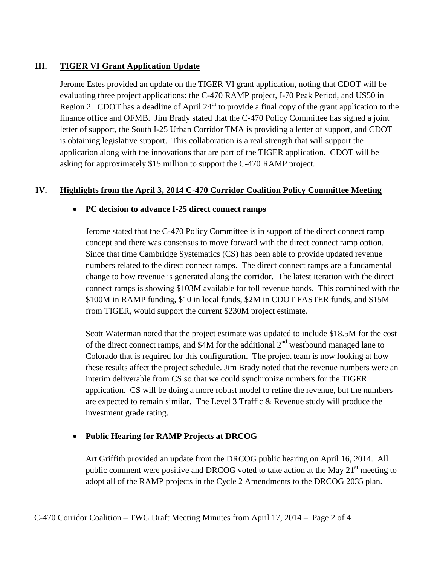# **III. TIGER VI Grant Application Update**

Jerome Estes provided an update on the TIGER VI grant application, noting that CDOT will be evaluating three project applications: the C-470 RAMP project, I-70 Peak Period, and US50 in Region 2. CDOT has a deadline of April  $24<sup>th</sup>$  to provide a final copy of the grant application to the finance office and OFMB. Jim Brady stated that the C-470 Policy Committee has signed a joint letter of support, the South I-25 Urban Corridor TMA is providing a letter of support, and CDOT is obtaining legislative support. This collaboration is a real strength that will support the application along with the innovations that are part of the TIGER application. CDOT will be asking for approximately \$15 million to support the C-470 RAMP project.

# **IV. Highlights from the April 3, 2014 C-470 Corridor Coalition Policy Committee Meeting**

## • **PC decision to advance I-25 direct connect ramps**

Jerome stated that the C-470 Policy Committee is in support of the direct connect ramp concept and there was consensus to move forward with the direct connect ramp option. Since that time Cambridge Systematics (CS) has been able to provide updated revenue numbers related to the direct connect ramps. The direct connect ramps are a fundamental change to how revenue is generated along the corridor. The latest iteration with the direct connect ramps is showing \$103M available for toll revenue bonds. This combined with the \$100M in RAMP funding, \$10 in local funds, \$2M in CDOT FASTER funds, and \$15M from TIGER, would support the current \$230M project estimate.

Scott Waterman noted that the project estimate was updated to include \$18.5M for the cost of the direct connect ramps, and  $$4M$  for the additional  $2<sup>nd</sup>$  westbound managed lane to Colorado that is required for this configuration. The project team is now looking at how these results affect the project schedule. Jim Brady noted that the revenue numbers were an interim deliverable from CS so that we could synchronize numbers for the TIGER application. CS will be doing a more robust model to refine the revenue, but the numbers are expected to remain similar. The Level 3 Traffic & Revenue study will produce the investment grade rating.

# • **Public Hearing for RAMP Projects at DRCOG**

Art Griffith provided an update from the DRCOG public hearing on April 16, 2014. All public comment were positive and DRCOG voted to take action at the May 21<sup>st</sup> meeting to adopt all of the RAMP projects in the Cycle 2 Amendments to the DRCOG 2035 plan.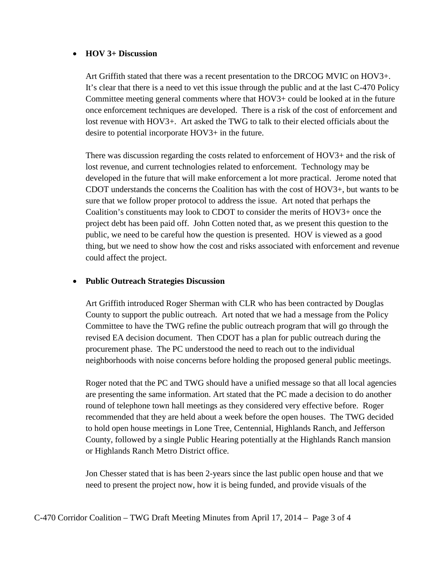#### • **HOV 3+ Discussion**

Art Griffith stated that there was a recent presentation to the DRCOG MVIC on HOV3+. It's clear that there is a need to vet this issue through the public and at the last C-470 Policy Committee meeting general comments where that HOV3+ could be looked at in the future once enforcement techniques are developed. There is a risk of the cost of enforcement and lost revenue with HOV3+. Art asked the TWG to talk to their elected officials about the desire to potential incorporate HOV3+ in the future.

There was discussion regarding the costs related to enforcement of HOV3+ and the risk of lost revenue, and current technologies related to enforcement. Technology may be developed in the future that will make enforcement a lot more practical. Jerome noted that CDOT understands the concerns the Coalition has with the cost of HOV3+, but wants to be sure that we follow proper protocol to address the issue. Art noted that perhaps the Coalition's constituents may look to CDOT to consider the merits of HOV3+ once the project debt has been paid off. John Cotten noted that, as we present this question to the public, we need to be careful how the question is presented. HOV is viewed as a good thing, but we need to show how the cost and risks associated with enforcement and revenue could affect the project.

## • **Public Outreach Strategies Discussion**

Art Griffith introduced Roger Sherman with CLR who has been contracted by Douglas County to support the public outreach. Art noted that we had a message from the Policy Committee to have the TWG refine the public outreach program that will go through the revised EA decision document. Then CDOT has a plan for public outreach during the procurement phase. The PC understood the need to reach out to the individual neighborhoods with noise concerns before holding the proposed general public meetings.

Roger noted that the PC and TWG should have a unified message so that all local agencies are presenting the same information. Art stated that the PC made a decision to do another round of telephone town hall meetings as they considered very effective before. Roger recommended that they are held about a week before the open houses. The TWG decided to hold open house meetings in Lone Tree, Centennial, Highlands Ranch, and Jefferson County, followed by a single Public Hearing potentially at the Highlands Ranch mansion or Highlands Ranch Metro District office.

Jon Chesser stated that is has been 2-years since the last public open house and that we need to present the project now, how it is being funded, and provide visuals of the